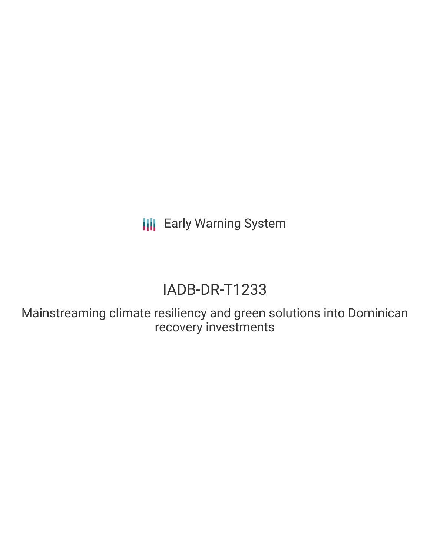**III** Early Warning System

# IADB-DR-T1233

Mainstreaming climate resiliency and green solutions into Dominican recovery investments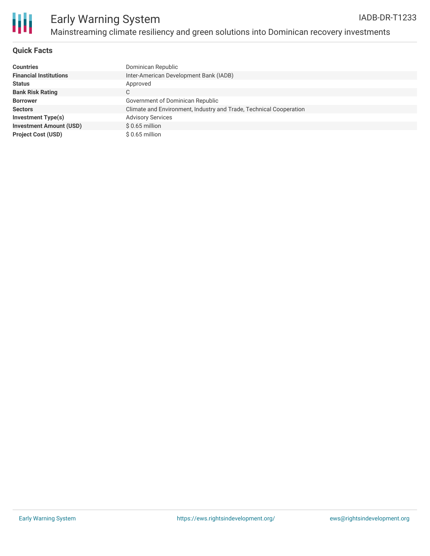

## **Quick Facts**

| <b>Countries</b>               | Dominican Republic                                                 |
|--------------------------------|--------------------------------------------------------------------|
| <b>Financial Institutions</b>  | Inter-American Development Bank (IADB)                             |
| <b>Status</b>                  | Approved                                                           |
| <b>Bank Risk Rating</b>        | С                                                                  |
| <b>Borrower</b>                | Government of Dominican Republic                                   |
| <b>Sectors</b>                 | Climate and Environment, Industry and Trade, Technical Cooperation |
| Investment Type(s)             | <b>Advisory Services</b>                                           |
| <b>Investment Amount (USD)</b> | $$0.65$ million                                                    |
| <b>Project Cost (USD)</b>      | $$0.65$ million                                                    |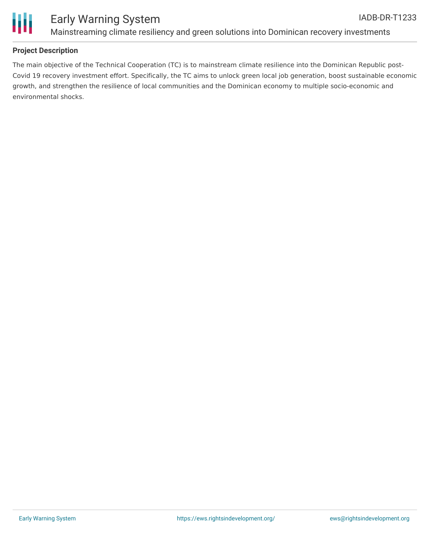

## **Project Description**

The main objective of the Technical Cooperation (TC) is to mainstream climate resilience into the Dominican Republic post-Covid 19 recovery investment effort. Specifically, the TC aims to unlock green local job generation, boost sustainable economic growth, and strengthen the resilience of local communities and the Dominican economy to multiple socio-economic and environmental shocks.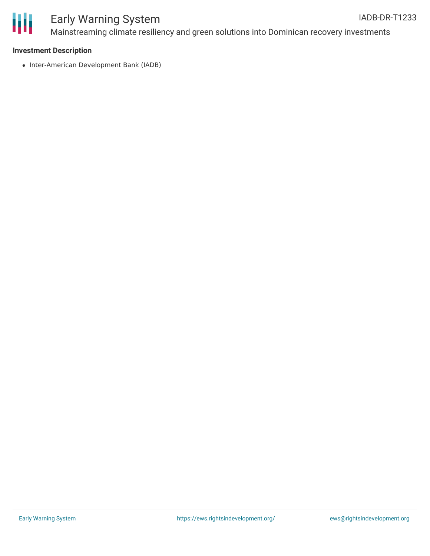

#### Early Warning System Mainstreaming climate resiliency and green solutions into Dominican recovery investments IADB-DR-T1233

### **Investment Description**

• Inter-American Development Bank (IADB)